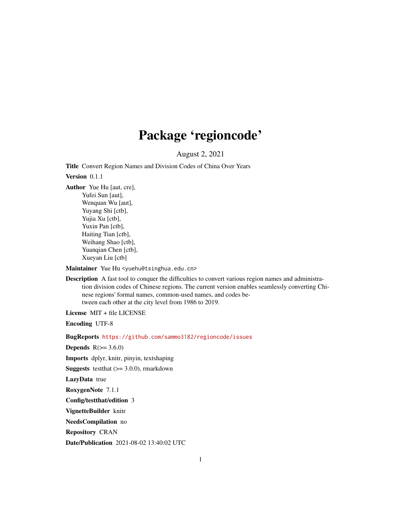## Package 'regioncode'

August 2, 2021

Title Convert Region Names and Division Codes of China Over Years

Version 0.1.1

Author Yue Hu [aut, cre], Yufei Sun [aut], Wenquan Wu [aut], Yuyang Shi [ctb], Yujia Xu [ctb], Yuxin Pan [ctb], Haiting Tian [ctb], Weihang Shao [ctb], Yuanqian Chen [ctb], Xueyan Liu [ctb]

Maintainer Yue Hu <yuehu@tsinghua.edu.cn>

Description A fast tool to conquer the difficulties to convert various region names and administration division codes of Chinese regions. The current version enables seamlessly converting Chinese regions' formal names, common-used names, and codes between each other at the city level from 1986 to 2019.

License MIT + file LICENSE

Encoding UTF-8

BugReports <https://github.com/sammo3182/regioncode/issues>

Depends  $R(>= 3.6.0)$ 

Imports dplyr, knitr, pinyin, textshaping

**Suggests** test that  $(>= 3.0.0)$ , rmarkdown

LazyData true

RoxygenNote 7.1.1

Config/testthat/edition 3

VignetteBuilder knitr

NeedsCompilation no

Repository CRAN

Date/Publication 2021-08-02 13:40:02 UTC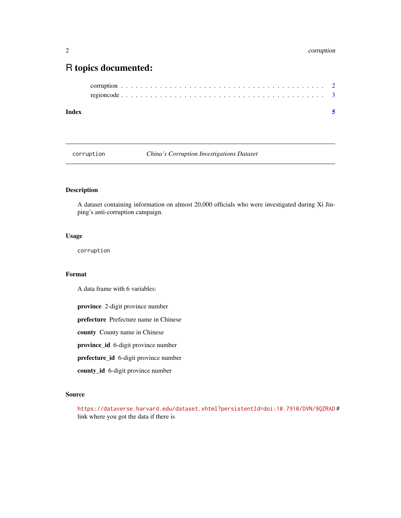### <span id="page-1-0"></span>R topics documented:

| Index |  |  |  |  |  |  |  |  |  |  |  |  |  |  |  |  |  |
|-------|--|--|--|--|--|--|--|--|--|--|--|--|--|--|--|--|--|
|       |  |  |  |  |  |  |  |  |  |  |  |  |  |  |  |  |  |
|       |  |  |  |  |  |  |  |  |  |  |  |  |  |  |  |  |  |

corruption *China's Corruption Investigations Dataset*

#### Description

A dataset containing information on almost 20,000 officials who were investigated during Xi Jinping's anti-corruption campaign.

#### Usage

corruption

#### Format

A data frame with 6 variables:

province 2-digit province number

prefecture Prefecture name in Chinese

county County name in Chinese

province\_id 6-digit province number

prefecture\_id 6-digit province number

county\_id 6-digit province number

#### Source

<https://dataverse.harvard.edu/dataset.xhtml?persistentId=doi:10.7910/DVN/9QZRAD> # link where you got the data if there is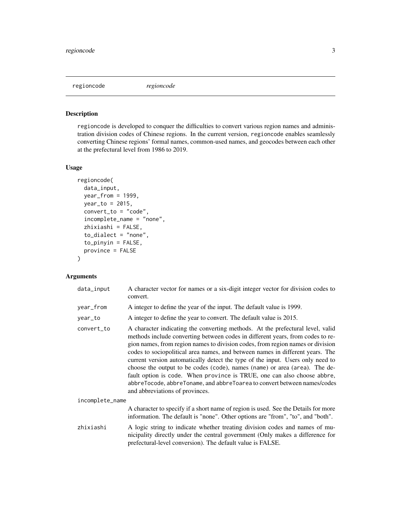<span id="page-2-0"></span>regioncode *regioncode*

#### Description

regioncode is developed to conquer the difficulties to convert various region names and administration division codes of Chinese regions. In the current version, regioncode enables seamlessly converting Chinese regions' formal names, common-used names, and geocodes between each other at the prefectural level from 1986 to 2019.

#### Usage

```
regioncode(
 data_input,
 year_from = 1999,
 year_to = 2015,
  convert_to = "code",
  incomplete_name = "none",
  zhixiashi = FALSE,
  to_dialect = "none",
  to_pinyin = FALSE,
 province = FALSE
\mathcal{L}
```
#### Arguments

| data_input      | A character vector for names or a six-digit integer vector for division codes to<br>convert.                                                                                                                                                                                                                                                                                                                                                                                                                                                                                                                                                                                                  |
|-----------------|-----------------------------------------------------------------------------------------------------------------------------------------------------------------------------------------------------------------------------------------------------------------------------------------------------------------------------------------------------------------------------------------------------------------------------------------------------------------------------------------------------------------------------------------------------------------------------------------------------------------------------------------------------------------------------------------------|
| year_from       | A integer to define the year of the input. The default value is 1999.                                                                                                                                                                                                                                                                                                                                                                                                                                                                                                                                                                                                                         |
| year_to         | A integer to define the year to convert. The default value is 2015.                                                                                                                                                                                                                                                                                                                                                                                                                                                                                                                                                                                                                           |
| convert_to      | A character indicating the converting methods. At the prefectural level, valid<br>methods include converting between codes in different years, from codes to re-<br>gion names, from region names to division codes, from region names or division<br>codes to sociopolitical area names, and between names in different years. The<br>current version automatically detect the type of the input. Users only need to<br>choose the output to be codes (code), names (name) or area (area). The de-<br>fault option is code. When province is TRUE, one can also choose abbre,<br>abbreTocode, abbreToname, and abbreToarea to convert between names/codes<br>and abbreviations of provinces. |
| incomplete_name |                                                                                                                                                                                                                                                                                                                                                                                                                                                                                                                                                                                                                                                                                               |
|                 | A character to specify if a short name of region is used. See the Details for more<br>information. The default is "none". Other options are "from", "to", and "both".                                                                                                                                                                                                                                                                                                                                                                                                                                                                                                                         |
| zhixiashi       | A logic string to indicate whether treating division codes and names of mu-<br>nicipality directly under the central government (Only makes a difference for<br>prefectural-level conversion). The default value is FALSE.                                                                                                                                                                                                                                                                                                                                                                                                                                                                    |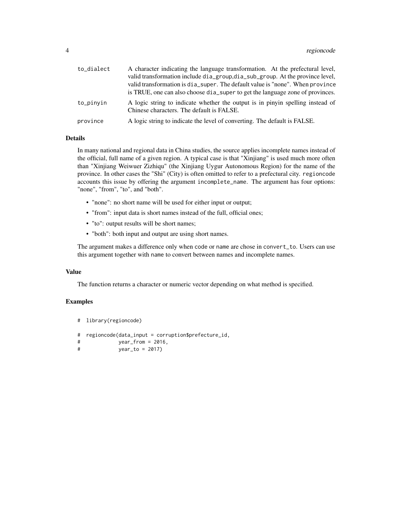| to_dialect | A character indicating the language transformation. At the prefectural level,<br>valid transformation include dia_group,dia_sub_group. At the province level,<br>valid transformation is dia super. The default value is "none". When province |
|------------|------------------------------------------------------------------------------------------------------------------------------------------------------------------------------------------------------------------------------------------------|
|            | is TRUE, one can also choose dia_super to get the language zone of provinces.                                                                                                                                                                  |
| to_pinyin  | A logic string to indicate whether the output is in pinyin spelling instead of<br>Chinese characters. The default is FALSE.                                                                                                                    |
| province   | A logic string to indicate the level of converting. The default is FALSE.                                                                                                                                                                      |

#### Details

In many national and regional data in China studies, the source applies incomplete names instead of the official, full name of a given region. A typical case is that "Xinjiang" is used much more often than "Xinjiang Weiwuer Zizhiqu" (the Xinjiang Uygur Autonomous Region) for the name of the province. In other cases the "Shi" (City) is often omitted to refer to a prefectural city. regioncode accounts this issue by offering the argument incomplete\_name. The argument has four options: "none", "from", "to", and "both".

- "none": no short name will be used for either input or output;
- "from": input data is short names instead of the full, official ones;
- "to": output results will be short names;
- "both": both input and output are using short names.

The argument makes a difference only when code or name are chose in convert\_to. Users can use this argument together with name to convert between names and incomplete names.

#### Value

The function returns a character or numeric vector depending on what method is specified.

#### Examples

```
# library(regioncode)
# regioncode(data_input = corruption$prefecture_id,
# year_from = 2016,
# year_to = 2017)
```